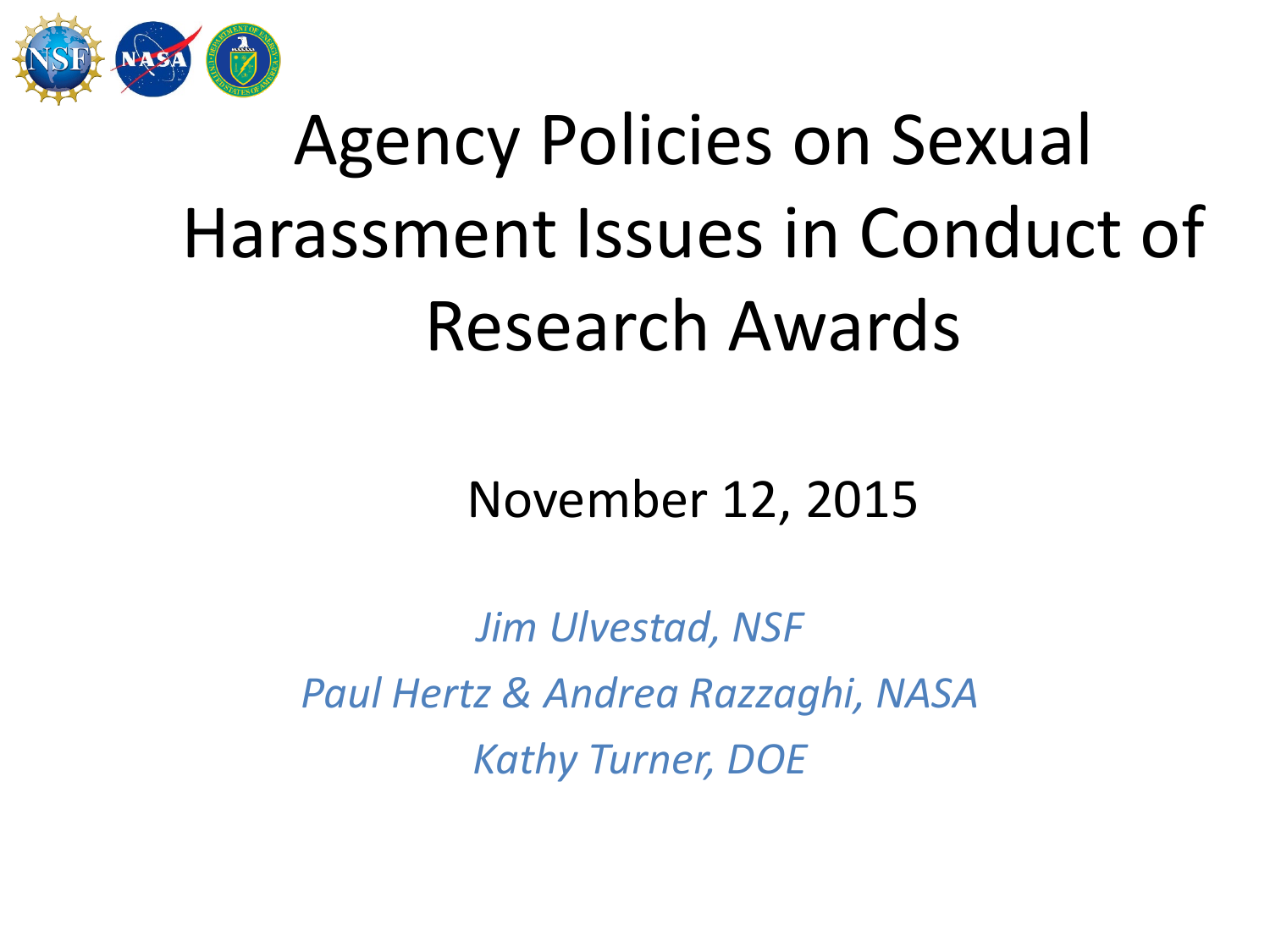

# Agency Policies on Sexual Harassment Issues in Conduct of Research Awards

#### November 12, 2015

*Jim Ulvestad, NSF Paul Hertz & Andrea Razzaghi, NASA Kathy Turner, DOE*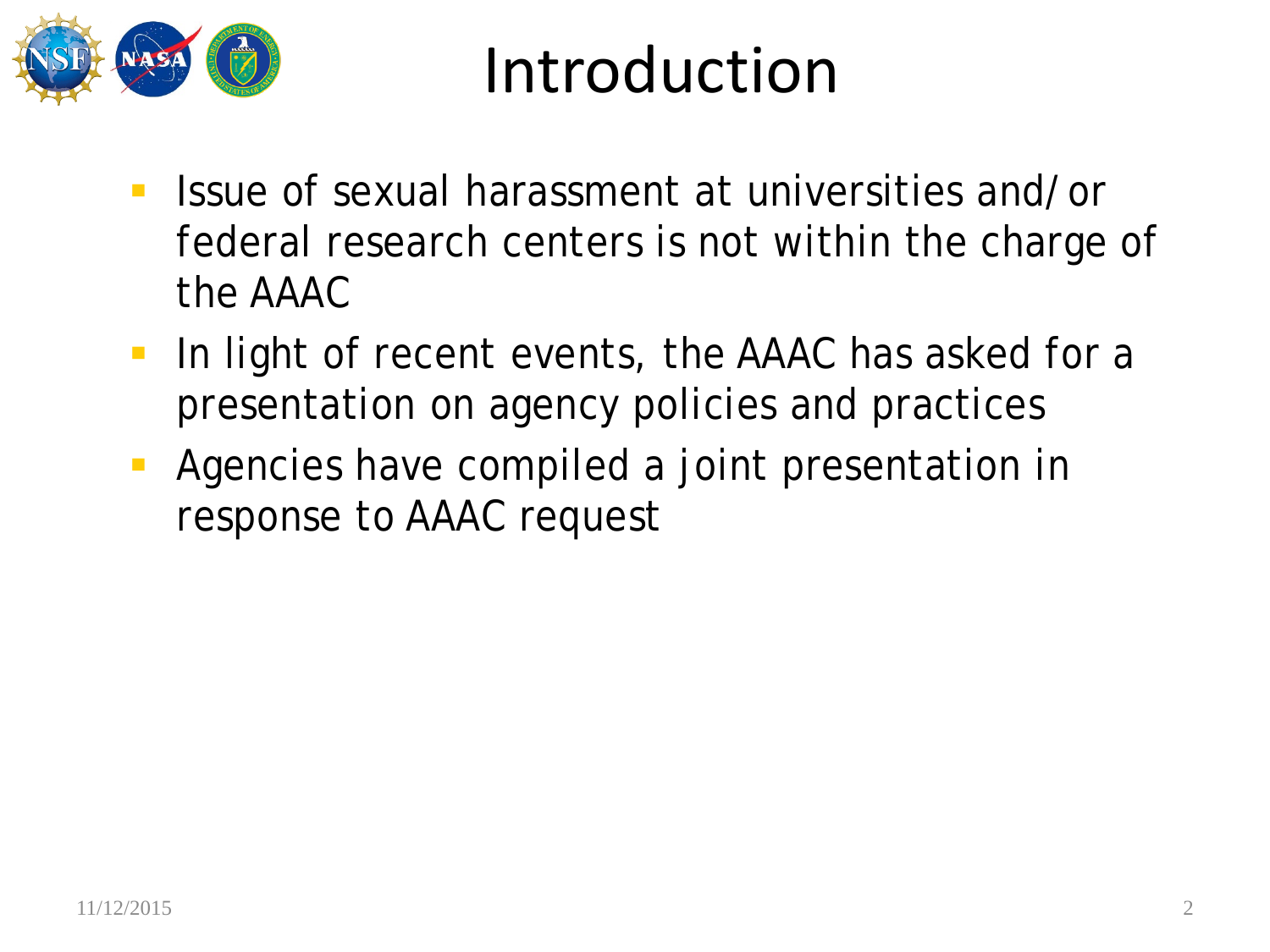

#### Introduction

- **If Issue of sexual harassment at universities and/or** federal research centers is not within the charge of the AAAC
- **In light of recent events, the AAAC has asked for a** presentation on agency policies and practices
- **Agencies have compiled a joint presentation in** response to AAAC request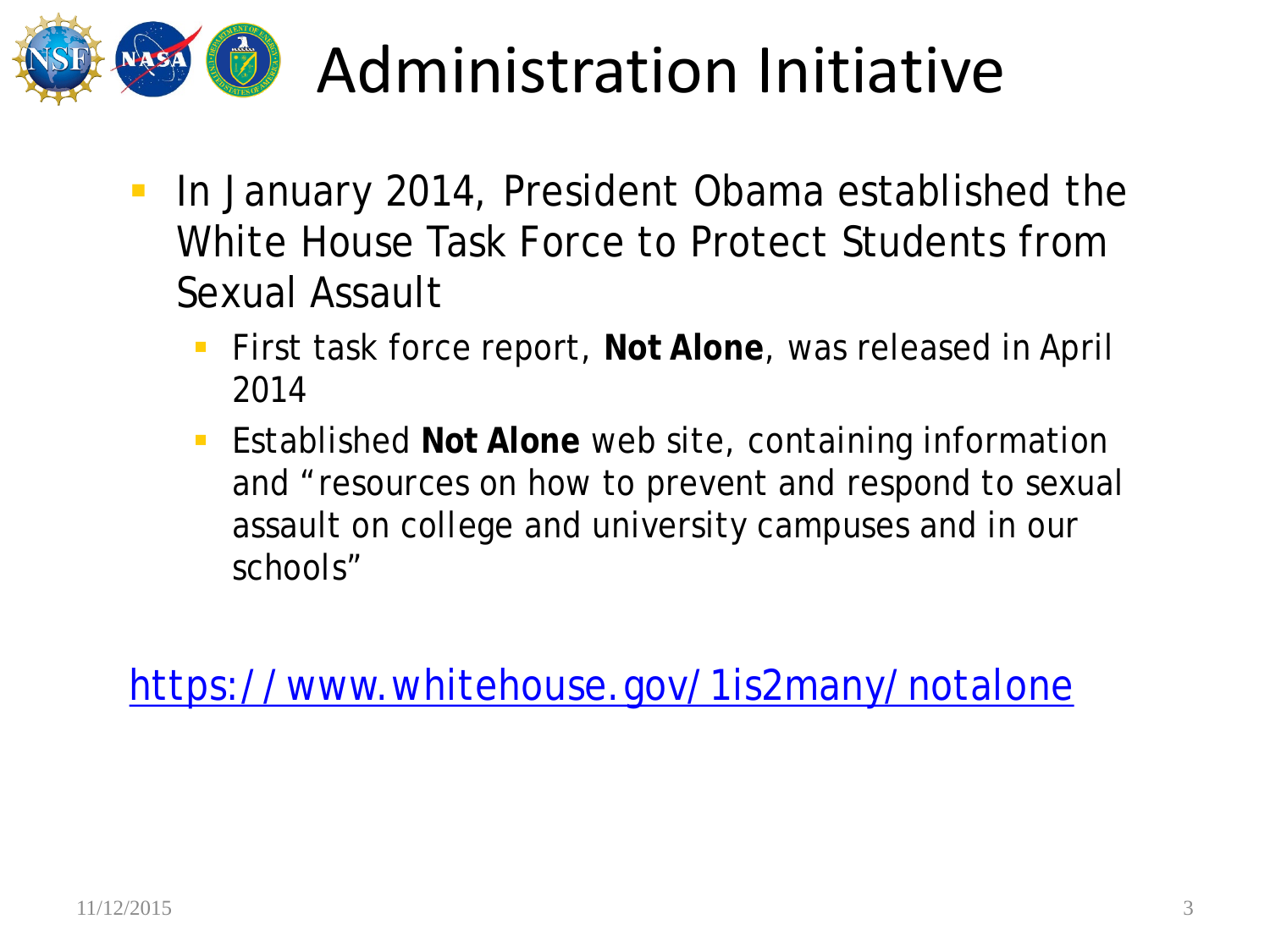

### Administration Initiative

- **In January 2014, President Obama established the** White House Task Force to Protect Students from Sexual Assault
	- First task force report, **Not Alone**, was released in April 2014
	- Established **Not Alone** web site, containing information and "resources on how to prevent and respond to sexual assault on college and university campuses and in our schools"

<https://www.whitehouse.gov/1is2many/notalone>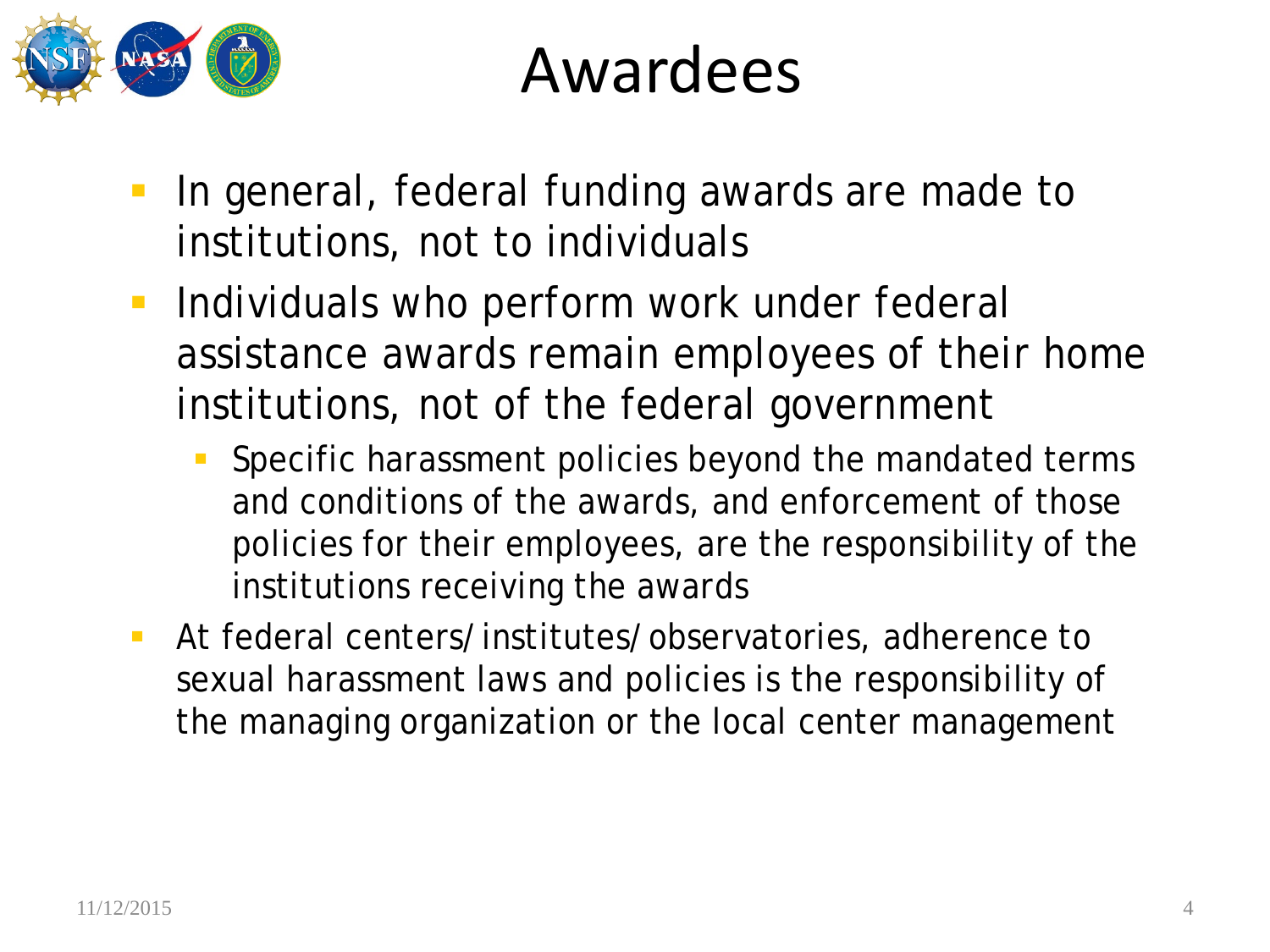

#### Awardees

- **In general, federal funding awards are made to** institutions, not to individuals
- **Individuals who perform work under federal** assistance awards remain employees of their home institutions, not of the federal government
	- Specific harassment policies beyond the mandated terms and conditions of the awards, and enforcement of those policies for their employees, are the responsibility of the institutions receiving the awards
- At federal centers/institutes/observatories, adherence to sexual harassment laws and policies is the responsibility of the managing organization or the local center management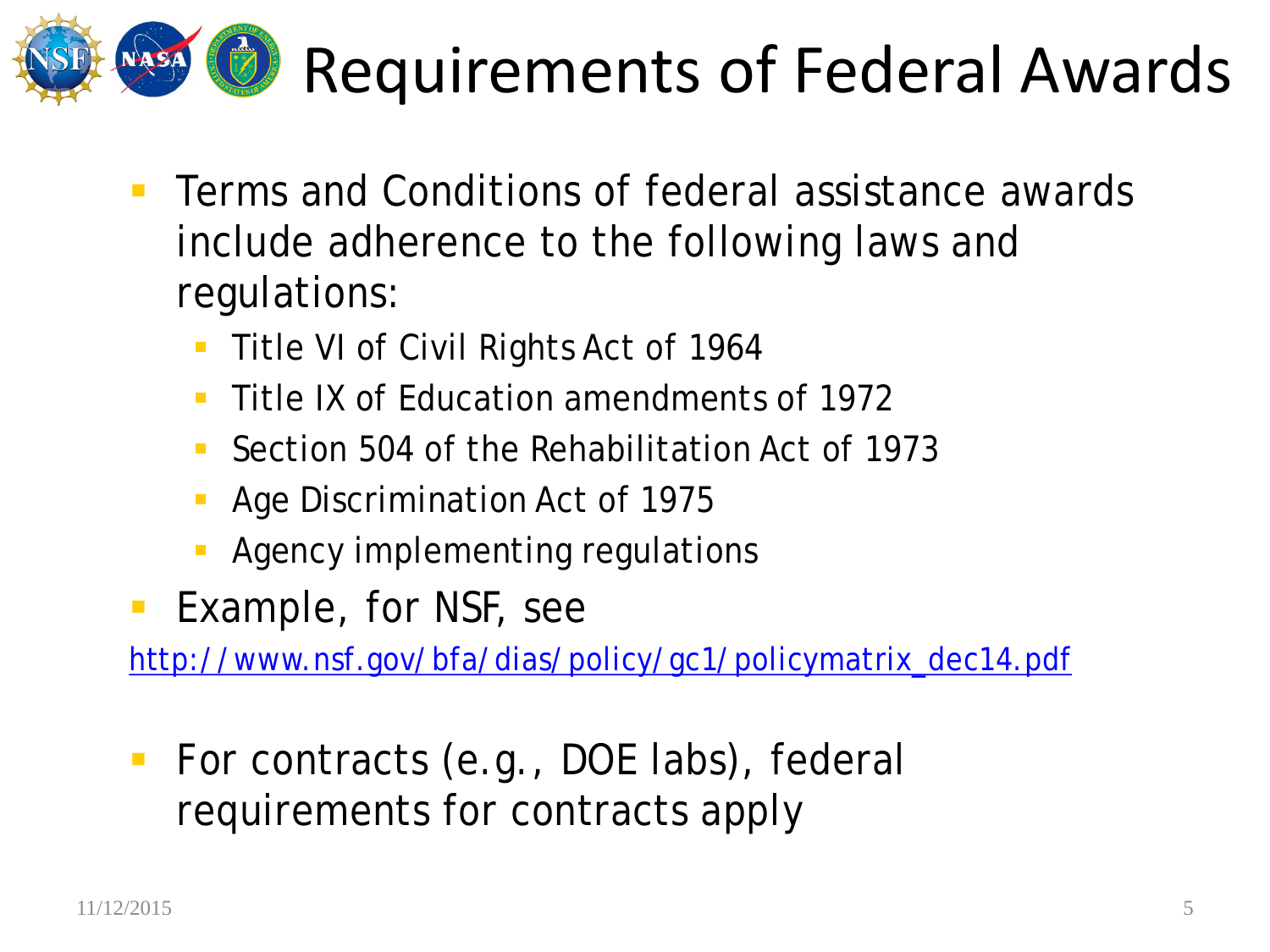

## Requirements of Federal Awards

- **Terms and Conditions of federal assistance awards** include adherence to the following laws and regulations:
	- **Title VI of Civil Rights Act of 1964**
	- Title IX of Education amendments of 1972
	- Section 504 of the Rehabilitation Act of 1973
	- Age Discrimination Act of 1975
	- Agency implementing regulations
- **Example, for NSF, see**

[http://www.nsf.gov/bfa/dias/policy/gc1/policymatrix\\_dec14.pdf](http://www.nsf.gov/bfa/dias/policy/gc1/policymatrix_dec14.pdf)

■ For contracts (e.g., DOE labs), federal requirements for contracts apply